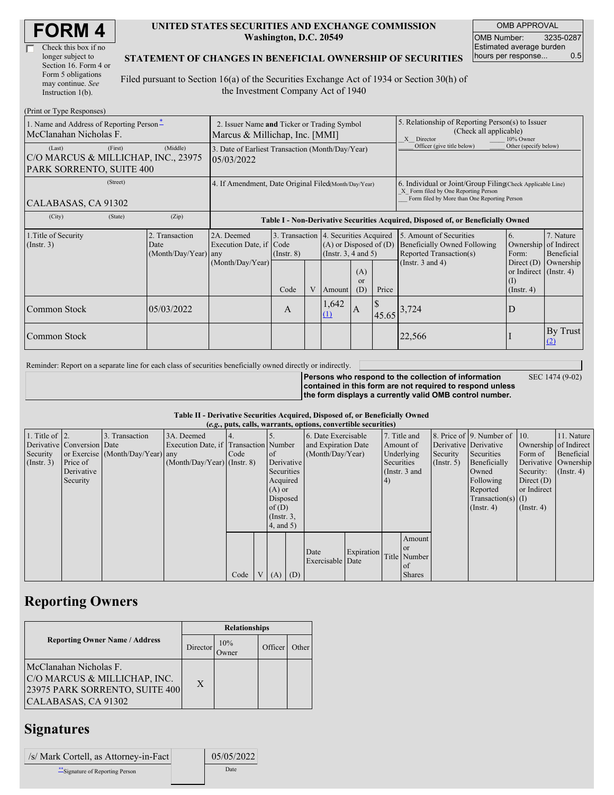| <b>FORM4</b> |
|--------------|
|--------------|

| Check this box if no  |
|-----------------------|
| longer subject to     |
| Section 16. Form 4 or |
| Form 5 obligations    |
| may continue. See     |
| Instruction 1(b).     |

### **UNITED STATES SECURITIES AND EXCHANGE COMMISSION Washington, D.C. 20549**

OMB APPROVAL OMB Number: 3235-0287 Estimated average burden hours per response... 0.5

### **STATEMENT OF CHANGES IN BENEFICIAL OWNERSHIP OF SECURITIES**

Filed pursuant to Section 16(a) of the Securities Exchange Act of 1934 or Section 30(h) of the Investment Company Act of 1940

| (Print or Type Responses)                                                            |                                                                               |                                                           |                         |   |                                                                                  |                                                                                                                                                    |                                                                                                       |                                                                                                             |                                                                                                           |                                      |  |  |
|--------------------------------------------------------------------------------------|-------------------------------------------------------------------------------|-----------------------------------------------------------|-------------------------|---|----------------------------------------------------------------------------------|----------------------------------------------------------------------------------------------------------------------------------------------------|-------------------------------------------------------------------------------------------------------|-------------------------------------------------------------------------------------------------------------|-----------------------------------------------------------------------------------------------------------|--------------------------------------|--|--|
| 1. Name and Address of Reporting Person-<br>McClanahan Nicholas F.                   | 2. Issuer Name and Ticker or Trading Symbol<br>Marcus & Millichap, Inc. [MMI] |                                                           |                         |   |                                                                                  |                                                                                                                                                    | 5. Relationship of Reporting Person(s) to Issuer<br>(Check all applicable)<br>X Director<br>10% Owner |                                                                                                             |                                                                                                           |                                      |  |  |
| (First)<br>(Last)<br>C/O MARCUS & MILLICHAP, INC., 23975<br>PARK SORRENTO, SUITE 400 | 3. Date of Earliest Transaction (Month/Day/Year)<br>05/03/2022                |                                                           |                         |   |                                                                                  |                                                                                                                                                    | Officer (give title below)                                                                            | Other (specify below)                                                                                       |                                                                                                           |                                      |  |  |
| (Street)<br>CALABASAS, CA 91302                                                      | 4. If Amendment, Date Original Filed(Month/Day/Year)                          |                                                           |                         |   |                                                                                  | 6. Individual or Joint/Group Filing Check Applicable Line)<br>X Form filed by One Reporting Person<br>Form filed by More than One Reporting Person |                                                                                                       |                                                                                                             |                                                                                                           |                                      |  |  |
| (City)<br>(State)<br>(Zip)                                                           |                                                                               |                                                           |                         |   | Table I - Non-Derivative Securities Acquired, Disposed of, or Beneficially Owned |                                                                                                                                                    |                                                                                                       |                                                                                                             |                                                                                                           |                                      |  |  |
| 1. Title of Security<br>$($ Instr. 3 $)$                                             | 2. Transaction<br>Date<br>(Month/Day/Year) any                                | 2A. Deemed<br>Execution Date, if Code<br>(Month/Day/Year) | $($ Instr. $8)$<br>Code | V | Amount                                                                           | 3. Transaction 4. Securities Acquired<br>$(A)$ or Disposed of $(D)$<br>(Instr. $3, 4$ and $5$ )<br>(A)<br><sub>or</sub><br>Price<br>(D)            |                                                                                                       | 5. Amount of Securities<br>Beneficially Owned Following<br>Reported Transaction(s)<br>(Instr. $3$ and $4$ ) | 6.<br>Ownership of Indirect<br>Form:<br>Direct $(D)$<br>or Indirect (Instr. 4)<br>(1)<br>$($ Instr. 4 $)$ | 7. Nature<br>Beneficial<br>Ownership |  |  |
| Common Stock                                                                         | 05/03/2022                                                                    |                                                           | A                       |   | ,642<br>(1)                                                                      | ΙA.                                                                                                                                                | 45.65                                                                                                 | 3,724                                                                                                       | D                                                                                                         |                                      |  |  |
| Common Stock                                                                         |                                                                               |                                                           |                         |   |                                                                                  |                                                                                                                                                    |                                                                                                       | 22,566                                                                                                      |                                                                                                           | By Trust<br>(2)                      |  |  |

Reminder: Report on a separate line for each class of securities beneficially owned directly or indirectly.

SEC 1474 (9-02)

**Persons who respond to the collection of information contained in this form are not required to respond unless the form displays a currently valid OMB control number.**

#### **Table II - Derivative Securities Acquired, Disposed of, or Beneficially Owned**

| (e.g., puts, calls, warrants, options, convertible securities) |                            |                                  |                                       |      |  |                 |            |                          |            |            |                 |                       |                              |                       |                      |
|----------------------------------------------------------------|----------------------------|----------------------------------|---------------------------------------|------|--|-----------------|------------|--------------------------|------------|------------|-----------------|-----------------------|------------------------------|-----------------------|----------------------|
| 1. Title of $\vert$ 2.                                         |                            | 3. Transaction                   | 3A. Deemed                            |      |  |                 |            | 6. Date Exercisable      |            |            | 7. Title and    |                       | 8. Price of 9. Number of 10. |                       | 11. Nature           |
|                                                                | Derivative Conversion Date |                                  | Execution Date, if Transaction Number |      |  |                 |            | and Expiration Date      |            |            | Amount of       | Derivative Derivative |                              | Ownership of Indirect |                      |
| Security                                                       |                            | or Exercise (Month/Day/Year) any |                                       | Code |  | of              |            | (Month/Day/Year)         |            |            | Underlying      | Security              | Securities                   | Form of               | Beneficial           |
| $($ Instr. 3)                                                  | Price of                   |                                  | $(Month/Day/Year)$ (Instr. 8)         |      |  |                 | Derivative |                          |            | Securities |                 | (Insert. 5)           | Beneficially                 |                       | Derivative Ownership |
|                                                                | Derivative                 |                                  |                                       |      |  | Securities      |            |                          |            |            | (Instr. $3$ and |                       | Owned                        | Security:             | $($ Instr. 4 $)$     |
|                                                                | Security                   |                                  |                                       |      |  | Acquired        |            |                          |            | $\vert 4)$ |                 |                       | Following                    | Direct $(D)$          |                      |
|                                                                |                            |                                  |                                       |      |  | $(A)$ or        |            |                          |            |            |                 |                       | Reported                     | or Indirect           |                      |
|                                                                |                            |                                  |                                       |      |  | Disposed        |            |                          |            |            |                 |                       | $Transaction(s)$ (I)         |                       |                      |
|                                                                |                            |                                  |                                       |      |  | of $(D)$        |            |                          |            |            |                 |                       | $($ Instr. 4)                | $($ Instr. 4)         |                      |
|                                                                |                            |                                  |                                       |      |  | $($ Instr. 3,   |            |                          |            |            |                 |                       |                              |                       |                      |
|                                                                |                            |                                  |                                       |      |  | $4$ , and $5$ ) |            |                          |            |            |                 |                       |                              |                       |                      |
|                                                                |                            |                                  |                                       |      |  |                 |            |                          |            |            | Amount          |                       |                              |                       |                      |
|                                                                |                            |                                  |                                       |      |  |                 |            |                          |            |            | or or           |                       |                              |                       |                      |
|                                                                |                            |                                  |                                       |      |  |                 |            | Date<br>Exercisable Date | Expiration |            | Title Number    |                       |                              |                       |                      |
|                                                                |                            |                                  |                                       |      |  |                 |            |                          |            |            | <sub>of</sub>   |                       |                              |                       |                      |
|                                                                |                            |                                  |                                       | Code |  | $V(A)$ (D)      |            |                          |            |            | <b>Shares</b>   |                       |                              |                       |                      |

### **Reporting Owners**

|                                                                                                                 | <b>Relationships</b> |                     |         |       |  |  |  |
|-----------------------------------------------------------------------------------------------------------------|----------------------|---------------------|---------|-------|--|--|--|
| <b>Reporting Owner Name / Address</b>                                                                           | Director             | 10%<br><b>Twner</b> | Officer | Other |  |  |  |
| McClanahan Nicholas F.<br>C/O MARCUS & MILLICHAP, INC.<br>23975 PARK SORRENTO, SUITE 400<br>CALABASAS, CA 91302 | $\mathbf{X}$         |                     |         |       |  |  |  |

## **Signatures**

| /s/ Mark Cortell, as Attorney-in-Fact | 05/05/2022 |
|---------------------------------------|------------|
| Signature of Reporting Person         | Date       |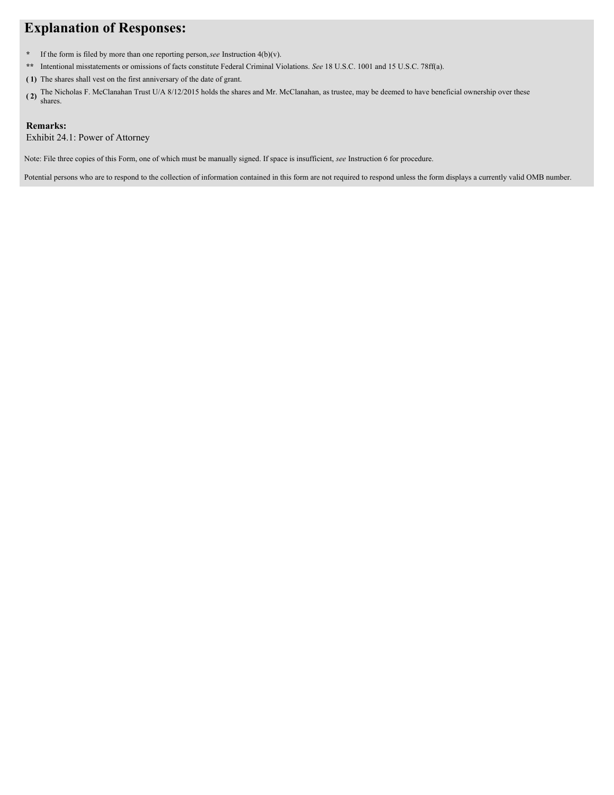# **Explanation of Responses:**

- **\*** If the form is filed by more than one reporting person,*see* Instruction 4(b)(v).
- **\*\*** Intentional misstatements or omissions of facts constitute Federal Criminal Violations. *See* 18 U.S.C. 1001 and 15 U.S.C. 78ff(a).
- **( 1)** The shares shall vest on the first anniversary of the date of grant.
- (2) The Nicholas F. McClanahan Trust U/A 8/12/2015 holds the shares and Mr. McClanahan, as trustee, may be deemed to have beneficial ownership over these shares.

### **Remarks:**

Exhibit 24.1: Power of Attorney

Note: File three copies of this Form, one of which must be manually signed. If space is insufficient, *see* Instruction 6 for procedure.

Potential persons who are to respond to the collection of information contained in this form are not required to respond unless the form displays a currently valid OMB number.